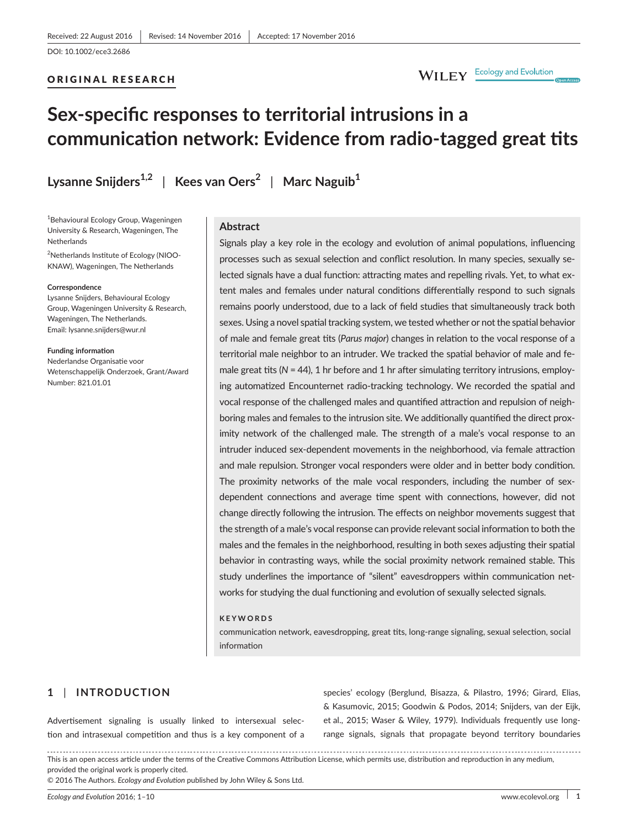#### ORIGINAL RESEARCH

## WILEY Ecology and Evolution

# **Sex-specific responses to territorial intrusions in a communication network: Evidence from radio-tagged great tits**

**Lysanne Snijders1,2** | **Kees van Oers<sup>2</sup>** | **Marc Naguib<sup>1</sup>**

<sup>1</sup>Behavioural Ecology Group, Wageningen University & Research, Wageningen, The **Netherlands** 

<sup>2</sup>Netherlands Institute of Ecology (NIOO-KNAW), Wageningen, The Netherlands

#### **Correspondence**

Lysanne Snijders, Behavioural Ecology Group, Wageningen University & Research, Wageningen, The Netherlands. Email: [lysanne.snijders@wur.nl](mailto:lysanne.snijders@wur.nl)

**Funding information** Nederlandse Organisatie voor Wetenschappelijk Onderzoek, Grant/Award Number: 821.01.01

#### **Abstract**

Signals play a key role in the ecology and evolution of animal populations, influencing processes such as sexual selection and conflict resolution. In many species, sexually selected signals have a dual function: attracting mates and repelling rivals. Yet, to what extent males and females under natural conditions differentially respond to such signals remains poorly understood, due to a lack of field studies that simultaneously track both sexes. Using a novel spatial tracking system, we tested whether or not the spatial behavior of male and female great tits (*Parus major*) changes in relation to the vocal response of a territorial male neighbor to an intruder. We tracked the spatial behavior of male and female great tits (N = 44), 1 hr before and 1 hr after simulating territory intrusions, employing automatized Encounternet radio-tracking technology. We recorded the spatial and vocal response of the challenged males and quantified attraction and repulsion of neighboring males and females to the intrusion site. We additionally quantified the direct proximity network of the challenged male. The strength of a male's vocal response to an intruder induced sex-dependent movements in the neighborhood, via female attraction and male repulsion. Stronger vocal responders were older and in better body condition. The proximity networks of the male vocal responders, including the number of sexdependent connections and average time spent with connections, however, did not change directly following the intrusion. The effects on neighbor movements suggest that the strength of a male's vocal response can provide relevant social information to both the males and the females in the neighborhood, resulting in both sexes adjusting their spatial behavior in contrasting ways, while the social proximity network remained stable. This study underlines the importance of "silent" eavesdroppers within communication networks for studying the dual functioning and evolution of sexually selected signals.

#### **KEYWORDS**

communication network, eavesdropping, great tits, long-range signaling, sexual selection, social information

## **1** | **INTRODUCTION**

Advertisement signaling is usually linked to intersexual selection and intrasexual competition and thus is a key component of a species' ecology (Berglund, Bisazza, & Pilastro, 1996; Girard, Elias, & Kasumovic, 2015; Goodwin & Podos, 2014; Snijders, van der Eijk, et al., 2015; Waser & Wiley, 1979). Individuals frequently use longrange signals, signals that propagate beyond territory boundaries

This is an open access article under the terms of the Creative Commons [Attribution](http://creativecommons.org/licenses/by/4.0/) License, which permits use, distribution and reproduction in any medium, provided the original work is properly cited.

© 2016 The Authors. *Ecology and Evolution* published by John Wiley & Sons Ltd.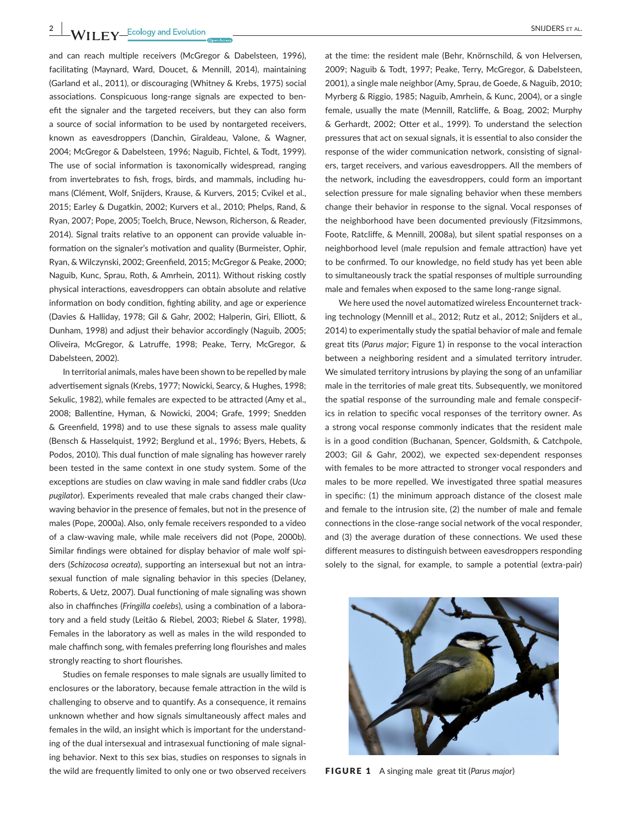and can reach multiple receivers (McGregor & Dabelsteen, 1996), facilitating (Maynard, Ward, Doucet, & Mennill, 2014), maintaining (Garland et al., 2011), or discouraging (Whitney & Krebs, 1975) social associations. Conspicuous long-range signals are expected to benefit the signaler and the targeted receivers, but they can also form a source of social information to be used by nontargeted receivers, known as eavesdroppers (Danchin, Giraldeau, Valone, & Wagner, 2004; McGregor & Dabelsteen, 1996; Naguib, Fichtel, & Todt, 1999). The use of social information is taxonomically widespread, ranging from invertebrates to fish, frogs, birds, and mammals, including humans (Clément, Wolf, Snijders, Krause, & Kurvers, 2015; Cvikel et al., 2015; Earley & Dugatkin, 2002; Kurvers et al., 2010; Phelps, Rand, & Ryan, 2007; Pope, 2005; Toelch, Bruce, Newson, Richerson, & Reader, 2014). Signal traits relative to an opponent can provide valuable information on the signaler's motivation and quality (Burmeister, Ophir, Ryan, & Wilczynski, 2002; Greenfield, 2015; McGregor & Peake, 2000; Naguib, Kunc, Sprau, Roth, & Amrhein, 2011). Without risking costly physical interactions, eavesdroppers can obtain absolute and relative information on body condition, fighting ability, and age or experience (Davies & Halliday, 1978; Gil & Gahr, 2002; Halperin, Giri, Elliott, & Dunham, 1998) and adjust their behavior accordingly (Naguib, 2005; Oliveira, McGregor, & Latruffe, 1998; Peake, Terry, McGregor, & Dabelsteen, 2002).

In territorial animals, males have been shown to be repelled by male advertisement signals (Krebs, 1977; Nowicki, Searcy, & Hughes, 1998; Sekulic, 1982), while females are expected to be attracted (Amy et al., 2008; Ballentine, Hyman, & Nowicki, 2004; Grafe, 1999; Snedden & Greenfield, 1998) and to use these signals to assess male quality (Bensch & Hasselquist, 1992; Berglund et al., 1996; Byers, Hebets, & Podos, 2010). This dual function of male signaling has however rarely been tested in the same context in one study system. Some of the exceptions are studies on claw waving in male sand fiddler crabs (*Uca pugilator*). Experiments revealed that male crabs changed their clawwaving behavior in the presence of females, but not in the presence of males (Pope, 2000a). Also, only female receivers responded to a video of a claw-waving male, while male receivers did not (Pope, 2000b). Similar findings were obtained for display behavior of male wolf spiders (*Schizocosa ocreata*), supporting an intersexual but not an intrasexual function of male signaling behavior in this species (Delaney, Roberts, & Uetz, 2007). Dual functioning of male signaling was shown also in chaffinches (*Fringilla coelebs*), using a combination of a laboratory and a field study (Leitão & Riebel, 2003; Riebel & Slater, 1998). Females in the laboratory as well as males in the wild responded to male chaffinch song, with females preferring long flourishes and males strongly reacting to short flourishes.

Studies on female responses to male signals are usually limited to enclosures or the laboratory, because female attraction in the wild is challenging to observe and to quantify. As a consequence, it remains unknown whether and how signals simultaneously affect males and females in the wild, an insight which is important for the understanding of the dual intersexual and intrasexual functioning of male signaling behavior. Next to this sex bias, studies on responses to signals in the wild are frequently limited to only one or two observed receivers

at the time: the resident male (Behr, Knörnschild, & von Helversen, 2009; Naguib & Todt, 1997; Peake, Terry, McGregor, & Dabelsteen, 2001), a single male neighbor (Amy, Sprau, de Goede, & Naguib, 2010; Myrberg & Riggio, 1985; Naguib, Amrhein, & Kunc, 2004), or a single female, usually the mate (Mennill, Ratcliffe, & Boag, 2002; Murphy & Gerhardt, 2002; Otter et al., 1999). To understand the selection pressures that act on sexual signals, it is essential to also consider the response of the wider communication network, consisting of signalers, target receivers, and various eavesdroppers. All the members of the network, including the eavesdroppers, could form an important selection pressure for male signaling behavior when these members change their behavior in response to the signal. Vocal responses of the neighborhood have been documented previously (Fitzsimmons, Foote, Ratcliffe, & Mennill, 2008a), but silent spatial responses on a neighborhood level (male repulsion and female attraction) have yet to be confirmed. To our knowledge, no field study has yet been able to simultaneously track the spatial responses of multiple surrounding male and females when exposed to the same long-range signal.

We here used the novel automatized wireless Encounternet tracking technology (Mennill et al., 2012; Rutz et al., 2012; Snijders et al., 2014) to experimentally study the spatial behavior of male and female great tits (*Parus major*; Figure 1) in response to the vocal interaction between a neighboring resident and a simulated territory intruder. We simulated territory intrusions by playing the song of an unfamiliar male in the territories of male great tits. Subsequently, we monitored the spatial response of the surrounding male and female conspecifics in relation to specific vocal responses of the territory owner. As a strong vocal response commonly indicates that the resident male is in a good condition (Buchanan, Spencer, Goldsmith, & Catchpole, 2003; Gil & Gahr, 2002), we expected sex-dependent responses with females to be more attracted to stronger vocal responders and males to be more repelled. We investigated three spatial measures in specific: (1) the minimum approach distance of the closest male and female to the intrusion site, (2) the number of male and female connections in the close-range social network of the vocal responder, and (3) the average duration of these connections. We used these different measures to distinguish between eavesdroppers responding solely to the signal, for example, to sample a potential (extra-pair)



FIGURE 1 A singing male great tit (*Parus major*)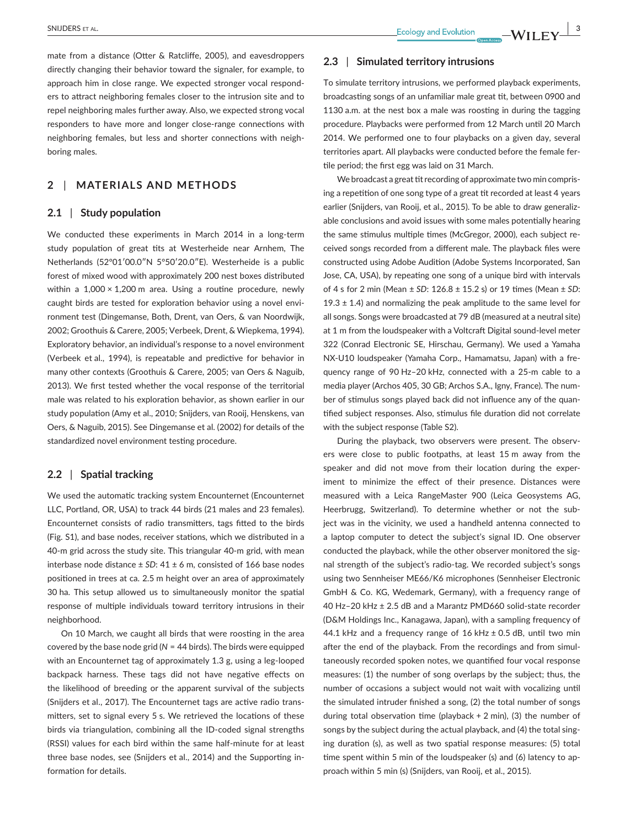mate from a distance (Otter & Ratcliffe, 2005), and eavesdroppers directly changing their behavior toward the signaler, for example, to approach him in close range. We expected stronger vocal responders to attract neighboring females closer to the intrusion site and to repel neighboring males further away. Also, we expected strong vocal responders to have more and longer close-range connections with neighboring females, but less and shorter connections with neighboring males.

## **2** | **MATERIALS AND METHODS**

### **2.1** | **Study population**

We conducted these experiments in March 2014 in a long-term study population of great tits at Westerheide near Arnhem, The Netherlands (52°01′00.0″N 5°50′20.0″E). Westerheide is a public forest of mixed wood with approximately 200 nest boxes distributed within a  $1,000 \times 1,200$  m area. Using a routine procedure, newly caught birds are tested for exploration behavior using a novel environment test (Dingemanse, Both, Drent, van Oers, & van Noordwijk, 2002; Groothuis & Carere, 2005; Verbeek, Drent, & Wiepkema, 1994). Exploratory behavior, an individual's response to a novel environment (Verbeek et al., 1994), is repeatable and predictive for behavior in many other contexts (Groothuis & Carere, 2005; van Oers & Naguib, 2013). We first tested whether the vocal response of the territorial male was related to his exploration behavior, as shown earlier in our study population (Amy et al., 2010; Snijders, van Rooij, Henskens, van Oers, & Naguib, 2015). See Dingemanse et al. (2002) for details of the standardized novel environment testing procedure.

## **2.2** | **Spatial tracking**

We used the automatic tracking system Encounternet (Encounternet LLC, Portland, OR, USA) to track 44 birds (21 males and 23 females). Encounternet consists of radio transmitters, tags fitted to the birds (Fig. S1), and base nodes, receiver stations, which we distributed in a 40-m grid across the study site. This triangular 40-m grid, with mean interbase node distance ± *SD*: 41 ± 6 m, consisted of 166 base nodes positioned in trees at ca. 2.5 m height over an area of approximately 30 ha. This setup allowed us to simultaneously monitor the spatial response of multiple individuals toward territory intrusions in their neighborhood.

On 10 March, we caught all birds that were roosting in the area covered by the base node grid (*N* = 44 birds). The birds were equipped with an Encounternet tag of approximately 1.3 g, using a leg-looped backpack harness. These tags did not have negative effects on the likelihood of breeding or the apparent survival of the subjects (Snijders et al., 2017). The Encounternet tags are active radio transmitters, set to signal every 5 s. We retrieved the locations of these birds via triangulation, combining all the ID-coded signal strengths (RSSI) values for each bird within the same half-minute for at least three base nodes, see (Snijders et al., 2014) and the Supporting information for details.

## **2.3** | **Simulated territory intrusions**

To simulate territory intrusions, we performed playback experiments, broadcasting songs of an unfamiliar male great tit, between 0900 and 1130 a.m. at the nest box a male was roosting in during the tagging procedure. Playbacks were performed from 12 March until 20 March 2014. We performed one to four playbacks on a given day, several territories apart. All playbacks were conducted before the female fertile period; the first egg was laid on 31 March.

We broadcast a great tit recording of approximate two min comprising a repetition of one song type of a great tit recorded at least 4 years earlier (Snijders, van Rooij, et al., 2015). To be able to draw generalizable conclusions and avoid issues with some males potentially hearing the same stimulus multiple times (McGregor, 2000), each subject received songs recorded from a different male. The playback files were constructed using Adobe Audition (Adobe Systems Incorporated, San Jose, CA, USA), by repeating one song of a unique bird with intervals of 4 s for 2 min (Mean ± *SD*: 126.8 ± 15.2 s) or 19 times (Mean ± *SD*: 19.3  $\pm$  1.4) and normalizing the peak amplitude to the same level for all songs. Songs were broadcasted at 79 dB (measured at a neutral site) at 1 m from the loudspeaker with a Voltcraft Digital sound-level meter 322 (Conrad Electronic SE, Hirschau, Germany). We used a Yamaha NX-U10 loudspeaker (Yamaha Corp., Hamamatsu, Japan) with a frequency range of 90 Hz–20 kHz, connected with a 25-m cable to a media player (Archos 405, 30 GB; Archos S.A., Igny, France). The number of stimulus songs played back did not influence any of the quantified subject responses. Also, stimulus file duration did not correlate with the subject response (Table S2).

During the playback, two observers were present. The observers were close to public footpaths, at least 15 m away from the speaker and did not move from their location during the experiment to minimize the effect of their presence. Distances were measured with a Leica RangeMaster 900 (Leica Geosystems AG, Heerbrugg, Switzerland). To determine whether or not the subject was in the vicinity, we used a handheld antenna connected to a laptop computer to detect the subject's signal ID. One observer conducted the playback, while the other observer monitored the signal strength of the subject's radio-tag. We recorded subject's songs using two Sennheiser ME66/K6 microphones (Sennheiser Electronic GmbH & Co. KG, Wedemark, Germany), with a frequency range of 40 Hz–20 kHz ± 2.5 dB and a Marantz PMD660 solid-state recorder (D&M Holdings Inc., Kanagawa, Japan), with a sampling frequency of 44.1 kHz and a frequency range of 16 kHz  $\pm$  0.5 dB, until two min after the end of the playback. From the recordings and from simultaneously recorded spoken notes, we quantified four vocal response measures: (1) the number of song overlaps by the subject; thus, the number of occasions a subject would not wait with vocalizing until the simulated intruder finished a song, (2) the total number of songs during total observation time (playback + 2 min), (3) the number of songs by the subject during the actual playback, and (4) the total singing duration (s), as well as two spatial response measures: (5) total time spent within 5 min of the loudspeaker (s) and (6) latency to approach within 5 min (s) (Snijders, van Rooij, et al., 2015).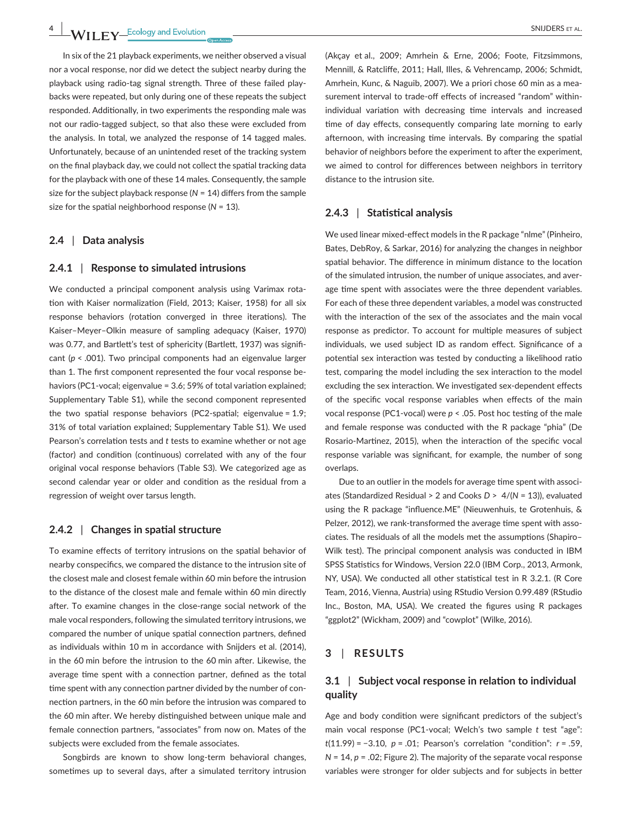In six of the 21 playback experiments, we neither observed a visual nor a vocal response, nor did we detect the subject nearby during the playback using radio-tag signal strength. Three of these failed playbacks were repeated, but only during one of these repeats the subject responded. Additionally, in two experiments the responding male was not our radio-tagged subject, so that also these were excluded from the analysis. In total, we analyzed the response of 14 tagged males. Unfortunately, because of an unintended reset of the tracking system on the final playback day, we could not collect the spatial tracking data for the playback with one of these 14 males. Consequently, the sample size for the subject playback response (*N* = 14) differs from the sample size for the spatial neighborhood response (*N* = 13).

#### **2.4** | **Data analysis**

#### **2.4.1** | **Response to simulated intrusions**

We conducted a principal component analysis using Varimax rotation with Kaiser normalization (Field, 2013; Kaiser, 1958) for all six response behaviors (rotation converged in three iterations). The Kaiser–Meyer–Olkin measure of sampling adequacy (Kaiser, 1970) was 0.77, and Bartlett's test of sphericity (Bartlett, 1937) was significant (*p* < .001). Two principal components had an eigenvalue larger than 1. The first component represented the four vocal response behaviors (PC1-vocal; eigenvalue = 3.6; 59% of total variation explained; Supplementary Table S1), while the second component represented the two spatial response behaviors (PC2-spatial; eigenvalue = 1.9; 31% of total variation explained; Supplementary Table S1). We used Pearson's correlation tests and *t* tests to examine whether or not age (factor) and condition (continuous) correlated with any of the four original vocal response behaviors (Table S3). We categorized age as second calendar year or older and condition as the residual from a regression of weight over tarsus length.

#### **2.4.2** | **Changes in spatial structure**

To examine effects of territory intrusions on the spatial behavior of nearby conspecifics, we compared the distance to the intrusion site of the closest male and closest female within 60 min before the intrusion to the distance of the closest male and female within 60 min directly after. To examine changes in the close-range social network of the male vocal responders, following the simulated territory intrusions, we compared the number of unique spatial connection partners, defined as individuals within 10 m in accordance with Snijders et al. (2014), in the 60 min before the intrusion to the 60 min after. Likewise, the average time spent with a connection partner, defined as the total time spent with any connection partner divided by the number of connection partners, in the 60 min before the intrusion was compared to the 60 min after. We hereby distinguished between unique male and female connection partners, "associates" from now on. Mates of the subjects were excluded from the female associates.

Songbirds are known to show long-term behavioral changes, sometimes up to several days, after a simulated territory intrusion

(Akçay et al., 2009; Amrhein & Erne, 2006; Foote, Fitzsimmons, Mennill, & Ratcliffe, 2011; Hall, Illes, & Vehrencamp, 2006; Schmidt, Amrhein, Kunc, & Naguib, 2007). We a priori chose 60 min as a measurement interval to trade-off effects of increased "random" withinindividual variation with decreasing time intervals and increased time of day effects, consequently comparing late morning to early afternoon, with increasing time intervals. By comparing the spatial behavior of neighbors before the experiment to after the experiment, we aimed to control for differences between neighbors in territory distance to the intrusion site.

#### **2.4.3** | **Statistical analysis**

We used linear mixed-effect models in the R package "nlme" (Pinheiro, Bates, DebRoy, & Sarkar, 2016) for analyzing the changes in neighbor spatial behavior. The difference in minimum distance to the location of the simulated intrusion, the number of unique associates, and average time spent with associates were the three dependent variables. For each of these three dependent variables, a model was constructed with the interaction of the sex of the associates and the main vocal response as predictor. To account for multiple measures of subject individuals, we used subject ID as random effect. Significance of a potential sex interaction was tested by conducting a likelihood ratio test, comparing the model including the sex interaction to the model excluding the sex interaction. We investigated sex-dependent effects of the specific vocal response variables when effects of the main vocal response (PC1-vocal) were *p* < .05. Post hoc testing of the male and female response was conducted with the R package "phia" (De Rosario-Martinez, 2015), when the interaction of the specific vocal response variable was significant, for example, the number of song overlaps.

Due to an outlier in the models for average time spent with associates (Standardized Residual > 2 and Cooks *D* > 4/(*N* = 13)), evaluated using the R package "influence.ME" (Nieuwenhuis, te Grotenhuis, & Pelzer, 2012), we rank-transformed the average time spent with associates. The residuals of all the models met the assumptions (Shapiro– Wilk test). The principal component analysis was conducted in IBM SPSS Statistics for Windows, Version 22.0 (IBM Corp., 2013, Armonk, NY, USA). We conducted all other statistical test in R 3.2.1. (R Core Team, 2016, Vienna, Austria) using RStudio Version 0.99.489 (RStudio Inc., Boston, MA, USA). We created the figures using R packages "ggplot2" (Wickham, 2009) and "cowplot" (Wilke, 2016).

#### **3** | **RESULTS**

## **3.1** | **Subject vocal response in relation to individual quality**

Age and body condition were significant predictors of the subject's main vocal response (PC1-vocal; Welch's two sample *t* test "age": *t*(11.99) = −3.10, *p* = .01; Pearson's correlation "condition": *r* = .59, *N* = 14, *p* = .02; Figure 2). The majority of the separate vocal response variables were stronger for older subjects and for subjects in better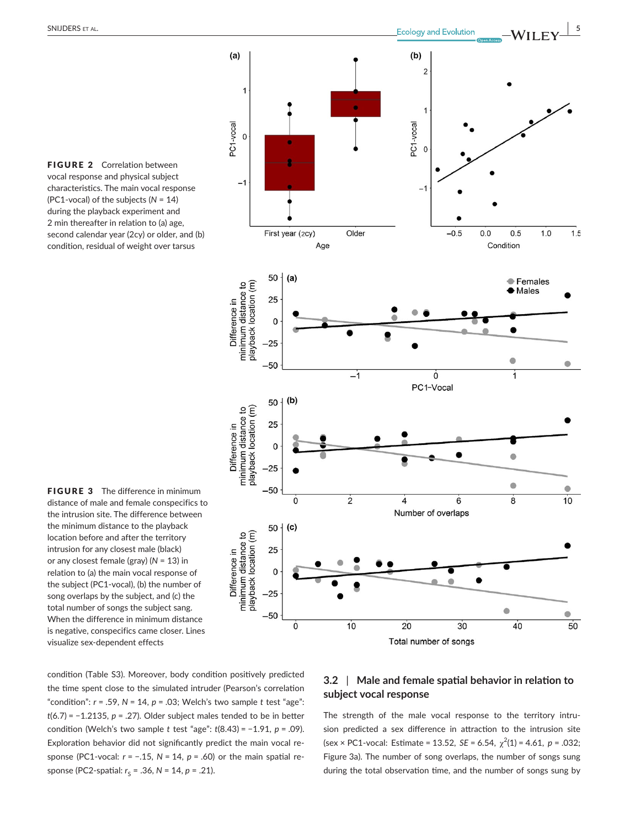FIGURE 2 Correlation between vocal response and physical subject characteristics. The main vocal response (PC1-vocal) of the subjects (*N* = 14) during the playback experiment and 2 min thereafter in relation to (a) age, second calendar year (2cy) or older, and (b) condition, residual of weight over tarsus

**FIGURE 3** The difference in minimum distance of male and female conspecifics to the intrusion site. The difference between the minimum distance to the playback location before and after the territory intrusion for any closest male (black) or any closest female (gray) (*N* = 13) in relation to (a) the main vocal response of the subject (PC1-vocal), (b) the number of song overlaps by the subject, and (c) the total number of songs the subject sang. When the difference in minimum distance is negative, conspecifics came closer. Lines visualize sex-dependent effects



condition (Table S3). Moreover, body condition positively predicted the time spent close to the simulated intruder (Pearson's correlation "condition":  $r = .59$ ,  $N = 14$ ,  $p = .03$ ; Welch's two sample  $t$  test "age": *t*(6.7) = −1.2135, *p* = .27). Older subject males tended to be in better condition (Welch's two sample *t* test "age": *t*(8.43) = −1.91, *p* = .09). Exploration behavior did not significantly predict the main vocal response (PC1-vocal: *r* = −.15, *N* = 14, *p* = .60) or the main spatial response (PC2-spatial:  $r<sub>S</sub>$  = .36, *N* = 14, *p* = .21).

## **3.2** | **Male and female spatial behavior in relation to subject vocal response**

The strength of the male vocal response to the territory intrusion predicted a sex difference in attraction to the intrusion site  $(\text{sex} \times \text{PC1-vocal: Estimate} = 13.52, \text{ SE} = 6.54, \chi^2(1) = 4.61, p = .032;$ Figure 3a). The number of song overlaps, the number of songs sung during the total observation time, and the number of songs sung by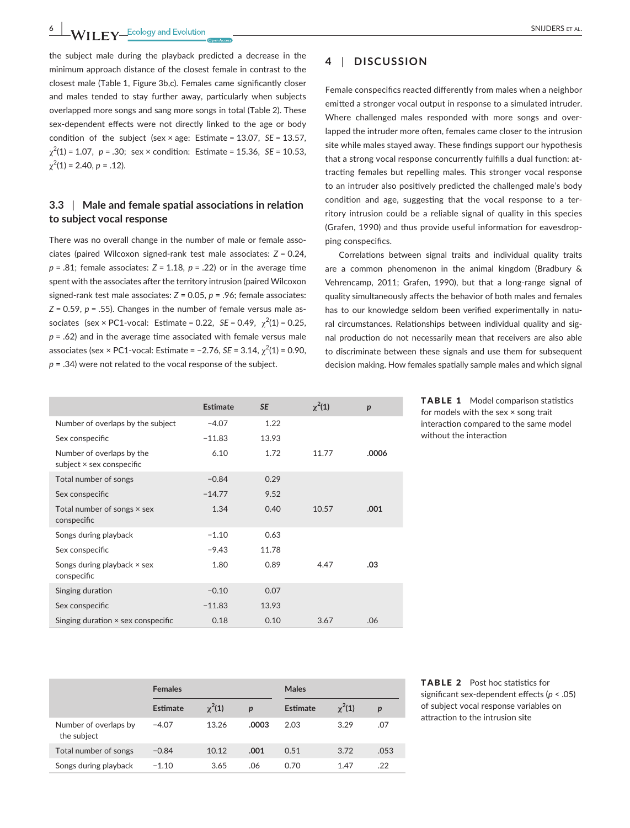**EXAMPLE 200 Example 20 CONTROLLERS ET AL.** THE SUITE CONTROLLERS ET AL.

the subject male during the playback predicted a decrease in the minimum approach distance of the closest female in contrast to the closest male (Table 1, Figure 3b,c). Females came significantly closer and males tended to stay further away, particularly when subjects overlapped more songs and sang more songs in total (Table 2). These sex-dependent effects were not directly linked to the age or body condition of the subject (sex × age: Estimate = 13.07, *SE* = 13.57, χ2 (1) = 1.07, *p* = .30; sex × condition: Estimate = 15.36, *SE* = 10.53,  $\chi^2(1) = 2.40, p = .12$ ).

## **3.3** | **Male and female spatial associations in relation to subject vocal response**

There was no overall change in the number of male or female associates (paired Wilcoxon signed-rank test male associates: *Z* = 0.24, *p* = .81; female associates: *Z* = 1.18, *p* = .22) or in the average time spent with the associates after the territory intrusion (paired Wilcoxon signed-rank test male associates: *Z* = 0.05, *p* = .96; female associates: *Z* = 0.59, *p* = .55). Changes in the number of female versus male associates (sex  $\times$  PC1-vocal: Estimate = 0.22, *SE* = 0.49,  $\chi^2(1)$  = 0.25, *p* = .62) and in the average time associated with female versus male associates (sex × PC1-vocal: Estimate =  $-2.76$ , *SE* = 3.14,  $\chi^2(1)$  = 0.90, *p* = .34) were not related to the vocal response of the subject.

## **4** | **DISCUSSION**

Female conspecifics reacted differently from males when a neighbor emitted a stronger vocal output in response to a simulated intruder. Where challenged males responded with more songs and overlapped the intruder more often, females came closer to the intrusion site while males stayed away. These findings support our hypothesis that a strong vocal response concurrently fulfills a dual function: attracting females but repelling males. This stronger vocal response to an intruder also positively predicted the challenged male's body condition and age, suggesting that the vocal response to a territory intrusion could be a reliable signal of quality in this species (Grafen, 1990) and thus provide useful information for eavesdropping conspecifics.

Correlations between signal traits and individual quality traits are a common phenomenon in the animal kingdom (Bradbury & Vehrencamp, 2011; Grafen, 1990), but that a long-range signal of quality simultaneously affects the behavior of both males and females has to our knowledge seldom been verified experimentally in natural circumstances. Relationships between individual quality and signal production do not necessarily mean that receivers are also able to discriminate between these signals and use them for subsequent decision making. How females spatially sample males and which signal

|                                                        | <b>Estimate</b> | <b>SE</b> | $\chi^2(1)$ | $\boldsymbol{p}$ |
|--------------------------------------------------------|-----------------|-----------|-------------|------------------|
| Number of overlaps by the subject                      | $-4.07$         | 1.22      |             |                  |
| Sex conspecific                                        | $-11.83$        | 13.93     |             |                  |
| Number of overlaps by the<br>subject × sex conspecific | 6.10            | 1.72      | 11.77       | .0006            |
| Total number of songs                                  | $-0.84$         | 0.29      |             |                  |
| Sex conspecific                                        | $-14.77$        | 9.52      |             |                  |
| Total number of songs $\times$ sex<br>conspecific      | 1.34            | 0.40      | 10.57       | .001             |
| Songs during playback                                  | $-1.10$         | 0.63      |             |                  |
| Sex conspecific                                        | $-9.43$         | 11.78     |             |                  |
| Songs during playback $\times$ sex<br>conspecific      | 1.80            | 0.89      | 4.47        | .03              |
| Singing duration                                       | $-0.10$         | 0.07      |             |                  |
| Sex conspecific                                        | $-11.83$        | 13.93     |             |                  |
| Singing duration $\times$ sex conspecific              | 0.18            | 0.10      | 3.67        | .06              |

TABLE 1 Model comparison statistics for models with the sex × song trait interaction compared to the same model without the interaction

|                                      | <b>Females</b> |             |                  | Males    |             |                  |
|--------------------------------------|----------------|-------------|------------------|----------|-------------|------------------|
|                                      | Estimate       | $\chi^2(1)$ | $\boldsymbol{p}$ | Estimate | $\chi^2(1)$ | $\boldsymbol{p}$ |
| Number of overlaps by<br>the subject | $-4.07$        | 13.26       | .0003            | 2.03     | 3.29        | .07              |
| Total number of songs                | $-0.84$        | 10.12       | .001             | 0.51     | 3.72        | .053             |
| Songs during playback                | $-1.10$        | 3.65        | .06              | 0.70     | 1.47        | .22              |

TABLE 2 Post hoc statistics for significant sex-dependent effects (*p* < .05) of subject vocal response variables on attraction to the intrusion site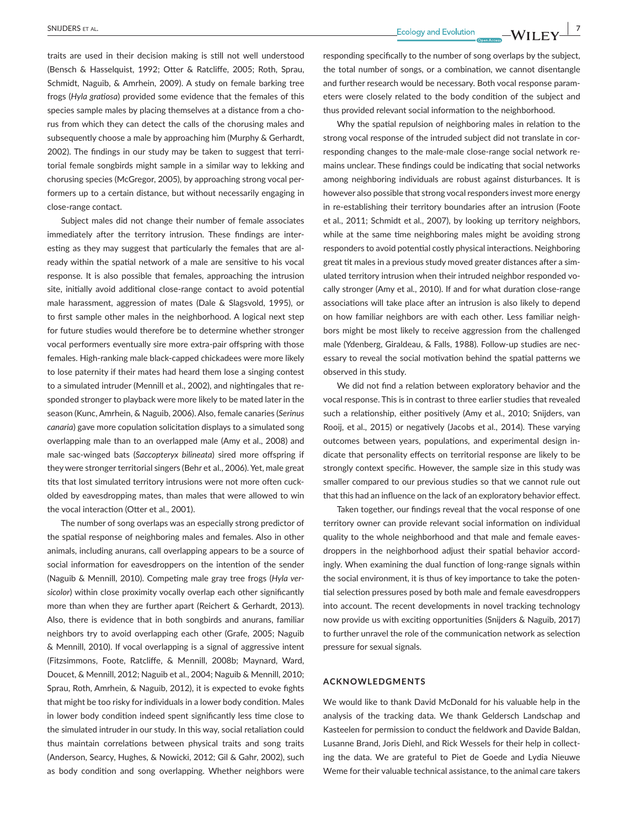**SNIJDERS** ET AL.  $\begin{array}{c|c|c|c|c} \hline \text{SNDDERS ET AL.} & \text{Ecology and Evolution} & \text{--} \\\hline \end{array} \begin{array}{c|c|c} \text{Ecology and Evolution} & \text{--} \\\hline \end{array} \begin{array}{c|c|c} \text{--} & \text{--} & \text{--} & \text{--} \\\hline \end{array}$ 

traits are used in their decision making is still not well understood (Bensch & Hasselquist, 1992; Otter & Ratcliffe, 2005; Roth, Sprau, Schmidt, Naguib, & Amrhein, 2009). A study on female barking tree frogs (*Hyla gratiosa*) provided some evidence that the females of this species sample males by placing themselves at a distance from a chorus from which they can detect the calls of the chorusing males and subsequently choose a male by approaching him (Murphy & Gerhardt, 2002). The findings in our study may be taken to suggest that territorial female songbirds might sample in a similar way to lekking and chorusing species (McGregor, 2005), by approaching strong vocal performers up to a certain distance, but without necessarily engaging in close-range contact.

Subject males did not change their number of female associates immediately after the territory intrusion. These findings are interesting as they may suggest that particularly the females that are already within the spatial network of a male are sensitive to his vocal response. It is also possible that females, approaching the intrusion site, initially avoid additional close-range contact to avoid potential male harassment, aggression of mates (Dale & Slagsvold, 1995), or to first sample other males in the neighborhood. A logical next step for future studies would therefore be to determine whether stronger vocal performers eventually sire more extra-pair offspring with those females. High-ranking male black-capped chickadees were more likely to lose paternity if their mates had heard them lose a singing contest to a simulated intruder (Mennill et al., 2002), and nightingales that responded stronger to playback were more likely to be mated later in the season (Kunc, Amrhein, & Naguib, 2006). Also, female canaries (*Serinus canaria*) gave more copulation solicitation displays to a simulated song overlapping male than to an overlapped male (Amy et al., 2008) and male sac-winged bats (*Saccopteryx bilineata*) sired more offspring if they were stronger territorial singers (Behr et al., 2006). Yet, male great tits that lost simulated territory intrusions were not more often cuckolded by eavesdropping mates, than males that were allowed to win the vocal interaction (Otter et al., 2001).

The number of song overlaps was an especially strong predictor of the spatial response of neighboring males and females. Also in other animals, including anurans, call overlapping appears to be a source of social information for eavesdroppers on the intention of the sender (Naguib & Mennill, 2010). Competing male gray tree frogs (*Hyla versicolor*) within close proximity vocally overlap each other significantly more than when they are further apart (Reichert & Gerhardt, 2013). Also, there is evidence that in both songbirds and anurans, familiar neighbors try to avoid overlapping each other (Grafe, 2005; Naguib & Mennill, 2010). If vocal overlapping is a signal of aggressive intent (Fitzsimmons, Foote, Ratcliffe, & Mennill, 2008b; Maynard, Ward, Doucet, & Mennill, 2012; Naguib et al., 2004; Naguib & Mennill, 2010; Sprau, Roth, Amrhein, & Naguib, 2012), it is expected to evoke fights that might be too risky for individuals in a lower body condition. Males in lower body condition indeed spent significantly less time close to the simulated intruder in our study. In this way, social retaliation could thus maintain correlations between physical traits and song traits (Anderson, Searcy, Hughes, & Nowicki, 2012; Gil & Gahr, 2002), such as body condition and song overlapping. Whether neighbors were

responding specifically to the number of song overlaps by the subject, the total number of songs, or a combination, we cannot disentangle and further research would be necessary. Both vocal response parameters were closely related to the body condition of the subject and thus provided relevant social information to the neighborhood.

Why the spatial repulsion of neighboring males in relation to the strong vocal response of the intruded subject did not translate in corresponding changes to the male-male close-range social network remains unclear. These findings could be indicating that social networks among neighboring individuals are robust against disturbances. It is however also possible that strong vocal responders invest more energy in re-establishing their territory boundaries after an intrusion (Foote et al., 2011; Schmidt et al., 2007), by looking up territory neighbors, while at the same time neighboring males might be avoiding strong responders to avoid potential costly physical interactions. Neighboring great tit males in a previous study moved greater distances after a simulated territory intrusion when their intruded neighbor responded vocally stronger (Amy et al., 2010). If and for what duration close-range associations will take place after an intrusion is also likely to depend on how familiar neighbors are with each other. Less familiar neighbors might be most likely to receive aggression from the challenged male (Ydenberg, Giraldeau, & Falls, 1988). Follow-up studies are necessary to reveal the social motivation behind the spatial patterns we observed in this study.

We did not find a relation between exploratory behavior and the vocal response. This is in contrast to three earlier studies that revealed such a relationship, either positively (Amy et al., 2010; Snijders, van Rooij, et al., 2015) or negatively (Jacobs et al., 2014). These varying outcomes between years, populations, and experimental design indicate that personality effects on territorial response are likely to be strongly context specific. However, the sample size in this study was smaller compared to our previous studies so that we cannot rule out that this had an influence on the lack of an exploratory behavior effect.

Taken together, our findings reveal that the vocal response of one territory owner can provide relevant social information on individual quality to the whole neighborhood and that male and female eavesdroppers in the neighborhood adjust their spatial behavior accordingly. When examining the dual function of long-range signals within the social environment, it is thus of key importance to take the potential selection pressures posed by both male and female eavesdroppers into account. The recent developments in novel tracking technology now provide us with exciting opportunities (Snijders & Naguib, 2017) to further unravel the role of the communication network as selection pressure for sexual signals.

#### **ACKNOWLEDGMENTS**

We would like to thank David McDonald for his valuable help in the analysis of the tracking data. We thank Geldersch Landschap and Kasteelen for permission to conduct the fieldwork and Davide Baldan, Lusanne Brand, Joris Diehl, and Rick Wessels for their help in collecting the data. We are grateful to Piet de Goede and Lydia Nieuwe Weme for their valuable technical assistance, to the animal care takers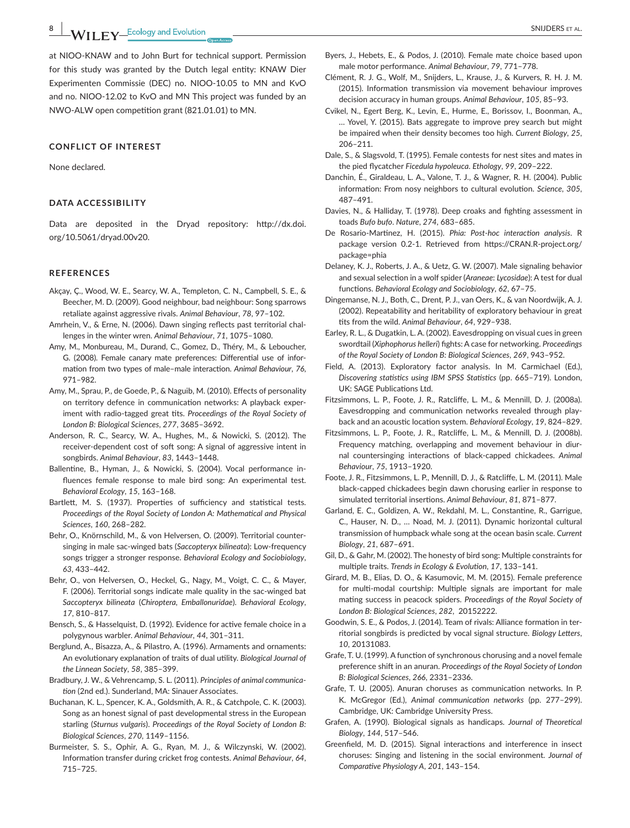**WII FY** Ecology and Evolution **CONSTRAL CONSTRAL** 

at NIOO-KNAW and to John Burt for technical support. Permission for this study was granted by the Dutch legal entity: KNAW Dier Experimenten Commissie (DEC) no. NIOO-10.05 to MN and KvO and no. NIOO-12.02 to KvO and MN This project was funded by an NWO-ALW open competition grant (821.01.01) to MN.

#### **CONFLICT OF INTEREST**

None declared.

#### **DATA ACCESSIBILITY**

Data are deposited in the Dryad repository: [http://dx.doi.](http://dx.doi.org/10.5061/dryad.00v20) [org/10.5061/dryad.00v20.](http://dx.doi.org/10.5061/dryad.00v20)

#### **REFERENCES**

- Akçay, Ç., Wood, W. E., Searcy, W. A., Templeton, C. N., Campbell, S. E., & Beecher, M. D. (2009). Good neighbour, bad neighbour: Song sparrows retaliate against aggressive rivals. *Animal Behaviour*, *78*, 97–102.
- Amrhein, V., & Erne, N. (2006). Dawn singing reflects past territorial challenges in the winter wren. *Animal Behaviour*, *71*, 1075–1080.
- Amy, M., Monbureau, M., Durand, C., Gomez, D., Théry, M., & Leboucher, G. (2008). Female canary mate preferences: Differential use of information from two types of male–male interaction. *Animal Behaviour*, *76*, 971–982.
- Amy, M., Sprau, P., de Goede, P., & Naguib, M. (2010). Effects of personality on territory defence in communication networks: A playback experiment with radio-tagged great tits. *Proceedings of the Royal Society of London B: Biological Sciences*, *277*, 3685–3692.
- Anderson, R. C., Searcy, W. A., Hughes, M., & Nowicki, S. (2012). The receiver-dependent cost of soft song: A signal of aggressive intent in songbirds. *Animal Behaviour*, *83*, 1443–1448.
- Ballentine, B., Hyman, J., & Nowicki, S. (2004). Vocal performance influences female response to male bird song: An experimental test. *Behavioral Ecology*, *15*, 163–168.
- Bartlett, M. S. (1937). Properties of sufficiency and statistical tests. *Proceedings of the Royal Society of London A: Mathematical and Physical Sciences*, *160*, 268–282.
- Behr, O., Knörnschild, M., & von Helversen, O. (2009). Territorial countersinging in male sac-winged bats (*Saccopteryx bilineata*): Low-frequency songs trigger a stronger response. *Behavioral Ecology and Sociobiology*, *63*, 433–442.
- Behr, O., von Helversen, O., Heckel, G., Nagy, M., Voigt, C. C., & Mayer, F. (2006). Territorial songs indicate male quality in the sac-winged bat *Saccopteryx bilineata* (*Chiroptera, Emballonuridae*). *Behavioral Ecology*, *17*, 810–817.
- Bensch, S., & Hasselquist, D. (1992). Evidence for active female choice in a polygynous warbler. *Animal Behaviour*, *44*, 301–311.
- Berglund, A., Bisazza, A., & Pilastro, A. (1996). Armaments and ornaments: An evolutionary explanation of traits of dual utility. *Biological Journal of the Linnean Society*, *58*, 385–399.
- Bradbury, J. W., & Vehrencamp, S. L. (2011). *Principles of animal communication* (2nd ed.). Sunderland, MA: Sinauer Associates.
- Buchanan, K. L., Spencer, K. A., Goldsmith, A. R., & Catchpole, C. K. (2003). Song as an honest signal of past developmental stress in the European starling (*Sturnus vulgaris*). *Proceedings of the Royal Society of London B: Biological Sciences*, *270*, 1149–1156.
- Burmeister, S. S., Ophir, A. G., Ryan, M. J., & Wilczynski, W. (2002). Information transfer during cricket frog contests. *Animal Behaviour*, *64*, 715–725.
- Byers, J., Hebets, E., & Podos, J. (2010). Female mate choice based upon male motor performance. *Animal Behaviour*, *79*, 771–778.
- Clément, R. J. G., Wolf, M., Snijders, L., Krause, J., & Kurvers, R. H. J. M. (2015). Information transmission via movement behaviour improves decision accuracy in human groups. *Animal Behaviour*, *105*, 85–93.
- Cvikel, N., Egert Berg, K., Levin, E., Hurme, E., Borissov, I., Boonman, A., … Yovel, Y. (2015). Bats aggregate to improve prey search but might be impaired when their density becomes too high. *Current Biology*, *25*, 206–211.
- Dale, S., & Slagsvold, T. (1995). Female contests for nest sites and mates in the pied flycatcher *Ficedula hypoleuca*. *Ethology*, *99*, 209–222.
- Danchin, É., Giraldeau, L. A., Valone, T. J., & Wagner, R. H. (2004). Public information: From nosy neighbors to cultural evolution. *Science*, *305*, 487–491.
- Davies, N., & Halliday, T. (1978). Deep croaks and fighting assessment in toads *Bufo bufo*. *Nature*, *274*, 683–685.
- De Rosario-Martinez, H. (2015). *Phia: Post-hoc interaction analysis*. R package version 0.2-1. Retrieved from [https://CRAN.R-project.org/](https://CRAN.R-project.org/package=phia) [package=phia](https://CRAN.R-project.org/package=phia)
- Delaney, K. J., Roberts, J. A., & Uetz, G. W. (2007). Male signaling behavior and sexual selection in a wolf spider (*Araneae*: *Lycosidae*): A test for dual functions. *Behavioral Ecology and Sociobiology*, *62*, 67–75.
- Dingemanse, N. J., Both, C., Drent, P. J., van Oers, K., & van Noordwijk, A. J. (2002). Repeatability and heritability of exploratory behaviour in great tits from the wild. *Animal Behaviour*, *64*, 929–938.
- Earley, R. L., & Dugatkin, L. A. (2002). Eavesdropping on visual cues in green swordtail (*Xiphophorus helleri*) fights: A case for networking. *Proceedings of the Royal Society of London B: Biological Sciences*, *269*, 943–952.
- Field, A. (2013). Exploratory factor analysis. In M. Carmichael (Ed.), *Discovering statistics using IBM SPSS Statistics* (pp. 665–719). London, UK: SAGE Publications Ltd.
- Fitzsimmons, L. P., Foote, J. R., Ratcliffe, L. M., & Mennill, D. J. (2008a). Eavesdropping and communication networks revealed through playback and an acoustic location system. *Behavioral Ecology*, *19*, 824–829.
- Fitzsimmons, L. P., Foote, J. R., Ratcliffe, L. M., & Mennill, D. J. (2008b). Frequency matching, overlapping and movement behaviour in diurnal countersinging interactions of black-capped chickadees. *Animal Behaviour*, *75*, 1913–1920.
- Foote, J. R., Fitzsimmons, L. P., Mennill, D. J., & Ratcliffe, L. M. (2011). Male black-capped chickadees begin dawn chorusing earlier in response to simulated territorial insertions. *Animal Behaviour*, *81*, 871–877.
- Garland, E. C., Goldizen, A. W., Rekdahl, M. L., Constantine, R., Garrigue, C., Hauser, N. D., … Noad, M. J. (2011). Dynamic horizontal cultural transmission of humpback whale song at the ocean basin scale. *Current Biology*, *21*, 687–691.
- Gil, D., & Gahr, M. (2002). The honesty of bird song: Multiple constraints for multiple traits. *Trends in Ecology & Evolution*, *17*, 133–141.
- Girard, M. B., Elias, D. O., & Kasumovic, M. M. (2015). Female preference for multi-modal courtship: Multiple signals are important for male mating success in peacock spiders. *Proceedings of the Royal Society of London B: Biological Sciences*, *282*, 20152222.
- Goodwin, S. E., & Podos, J. (2014). Team of rivals: Alliance formation in territorial songbirds is predicted by vocal signal structure. *Biology Letters*, *10*, 20131083.
- Grafe, T. U. (1999). A function of synchronous chorusing and a novel female preference shift in an anuran. *Proceedings of the Royal Society of London B: Biological Sciences*, *266*, 2331–2336.
- Grafe, T. U. (2005). Anuran choruses as communication networks. In P. K. McGregor (Ed.), *Animal communication networks* (pp. 277–299). Cambridge, UK: Cambridge University Press.
- Grafen, A. (1990). Biological signals as handicaps. *Journal of Theoretical Biology*, *144*, 517–546.
- Greenfield, M. D. (2015). Signal interactions and interference in insect choruses: Singing and listening in the social environment. *Journal of Comparative Physiology A*, *201*, 143–154.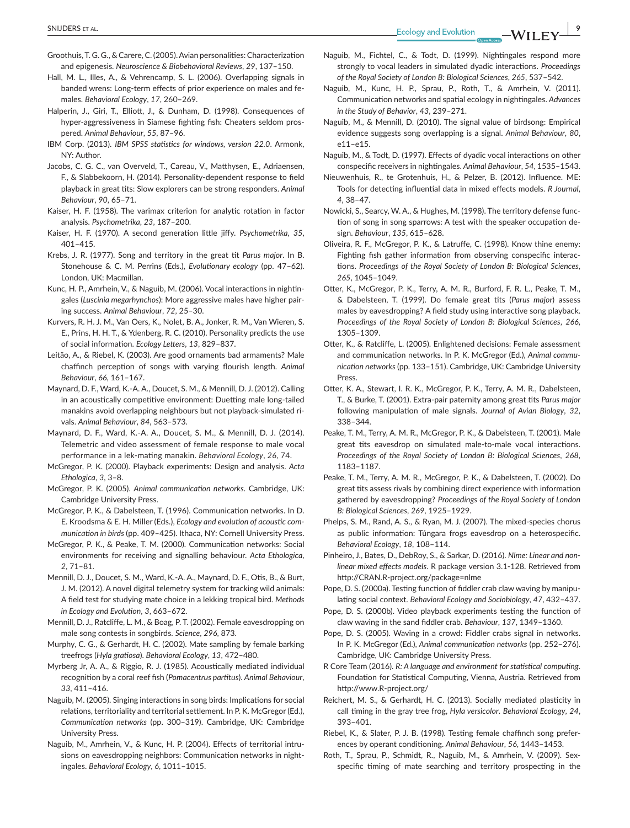- Groothuis,T. G. G., & Carere,C. (2005).Avian personalities: Characterization and epigenesis. *Neuroscience & Biobehavioral Reviews*, *29*, 137–150.
- Hall, M. L., Illes, A., & Vehrencamp, S. L. (2006). Overlapping signals in banded wrens: Long-term effects of prior experience on males and females. *Behavioral Ecology*, *17*, 260–269.
- Halperin, J., Giri, T., Elliott, J., & Dunham, D. (1998). Consequences of hyper-aggressiveness in Siamese fighting fish: Cheaters seldom prospered. *Animal Behaviour*, *55*, 87–96.
- IBM Corp. (2013). *IBM SPSS statistics for windows, version 22.0*. Armonk, NY: Author.
- Jacobs, C. G. C., van Overveld, T., Careau, V., Matthysen, E., Adriaensen, F., & Slabbekoorn, H. (2014). Personality-dependent response to field playback in great tits: Slow explorers can be strong responders. *Animal Behaviour*, *90*, 65–71.
- Kaiser, H. F. (1958). The varimax criterion for analytic rotation in factor analysis. *Psychometrika*, *23*, 187–200.
- Kaiser, H. F. (1970). A second generation little jiffy. *Psychometrika*, *35*, 401–415.
- Krebs, J. R. (1977). Song and territory in the great tit *Parus major*. In B. Stonehouse & C. M. Perrins (Eds.), *Evolutionary ecology* (pp. 47–62). London, UK: Macmillan.
- Kunc, H. P., Amrhein, V., & Naguib, M. (2006). Vocal interactions in nightingales (*Luscinia megarhynchos*): More aggressive males have higher pairing success. *Animal Behaviour*, *72*, 25–30.
- Kurvers, R. H. J. M., Van Oers, K., Nolet, B. A., Jonker, R. M., Van Wieren, S. E., Prins, H. H. T., & Ydenberg, R. C. (2010). Personality predicts the use of social information. *Ecology Letters*, *13*, 829–837.
- Leitão, A., & Riebel, K. (2003). Are good ornaments bad armaments? Male chaffinch perception of songs with varying flourish length. *Animal Behaviour*, *66*, 161–167.
- Maynard, D. F., Ward, K.-A. A., Doucet, S. M., & Mennill, D. J. (2012). Calling in an acoustically competitive environment: Duetting male long-tailed manakins avoid overlapping neighbours but not playback-simulated rivals. *Animal Behaviour*, *84*, 563–573.
- Maynard, D. F., Ward, K.-A. A., Doucet, S. M., & Mennill, D. J. (2014). Telemetric and video assessment of female response to male vocal performance in a lek-mating manakin. *Behavioral Ecology*, *26*, 74.
- McGregor, P. K. (2000). Playback experiments: Design and analysis. *Acta Ethologica*, *3*, 3–8.
- McGregor, P. K. (2005). *Animal communication networks*. Cambridge, UK: Cambridge University Press.
- McGregor, P. K., & Dabelsteen, T. (1996). Communication networks. In D. E. Kroodsma & E. H. Miller (Eds.), *Ecology and evolution of acoustic communication in birds* (pp. 409–425). Ithaca, NY: Cornell University Press.
- McGregor, P. K., & Peake, T. M. (2000). Communication networks: Social environments for receiving and signalling behaviour. *Acta Ethologica*, *2*, 71–81.
- Mennill, D. J., Doucet, S. M., Ward, K.-A. A., Maynard, D. F., Otis, B., & Burt, J. M. (2012). A novel digital telemetry system for tracking wild animals: A field test for studying mate choice in a lekking tropical bird. *Methods in Ecology and Evolution*, *3*, 663–672.
- Mennill, D. J., Ratcliffe, L. M., & Boag, P. T. (2002). Female eavesdropping on male song contests in songbirds. *Science*, *296*, 873.
- Murphy, C. G., & Gerhardt, H. C. (2002). Mate sampling by female barking treefrogs (*Hyla gratiosa*). *Behavioral Ecology*, *13*, 472–480.
- Myrberg Jr, A. A., & Riggio, R. J. (1985). Acoustically mediated individual recognition by a coral reef fish (*Pomacentrus partitus*). *Animal Behaviour*, *33*, 411–416.
- Naguib, M. (2005). Singing interactions in song birds: Implications for social relations, territoriality and territorial settlement. In P. K. McGregor (Ed.), *Communication networks* (pp. 300–319). Cambridge, UK: Cambridge University Press.
- Naguib, M., Amrhein, V., & Kunc, H. P. (2004). Effects of territorial intrusions on eavesdropping neighbors: Communication networks in nightingales. *Behavioral Ecology*, *6*, 1011–1015.
- Naguib, M., Fichtel, C., & Todt, D. (1999). Nightingales respond more strongly to vocal leaders in simulated dyadic interactions. *Proceedings of the Royal Society of London B: Biological Sciences*, *265*, 537–542.
- Naguib, M., Kunc, H. P., Sprau, P., Roth, T., & Amrhein, V. (2011). Communication networks and spatial ecology in nightingales. *Advances in the Study of Behavior*, *43*, 239–271.
- Naguib, M., & Mennill, D. (2010). The signal value of birdsong: Empirical evidence suggests song overlapping is a signal. *Animal Behaviour*, *80*, e11–e15.
- Naguib, M., & Todt, D. (1997). Effects of dyadic vocal interactions on other conspecific receivers in nightingales. *Animal Behaviour*, *54*, 1535–1543.
- Nieuwenhuis, R., te Grotenhuis, H., & Pelzer, B. (2012). Influence. ME: Tools for detecting influential data in mixed effects models. *R Journal*, *4*, 38–47.
- Nowicki, S., Searcy, W. A., & Hughes, M. (1998). The territory defense function of song in song sparrows: A test with the speaker occupation design. *Behaviour*, *135*, 615–628.
- Oliveira, R. F., McGregor, P. K., & Latruffe, C. (1998). Know thine enemy: Fighting fish gather information from observing conspecific interactions. *Proceedings of the Royal Society of London B: Biological Sciences*, *265*, 1045–1049.
- Otter, K., McGregor, P. K., Terry, A. M. R., Burford, F. R. L., Peake, T. M., & Dabelsteen, T. (1999). Do female great tits (*Parus major*) assess males by eavesdropping? A field study using interactive song playback. *Proceedings of the Royal Society of London B: Biological Sciences*, *266*, 1305–1309.
- Otter, K., & Ratcliffe, L. (2005). Enlightened decisions: Female assessment and communication networks. In P. K. McGregor (Ed.), *Animal communication networks* (pp. 133–151). Cambridge, UK: Cambridge University **Press**
- Otter, K. A., Stewart, I. R. K., McGregor, P. K., Terry, A. M. R., Dabelsteen, T., & Burke, T. (2001). Extra-pair paternity among great tits *Parus major* following manipulation of male signals. *Journal of Avian Biology*, *32*, 338–344.
- Peake, T. M., Terry, A. M. R., McGregor, P. K., & Dabelsteen, T. (2001). Male great tits eavesdrop on simulated male-to-male vocal interactions. *Proceedings of the Royal Society of London B: Biological Sciences*, *268*, 1183–1187.
- Peake, T. M., Terry, A. M. R., McGregor, P. K., & Dabelsteen, T. (2002). Do great tits assess rivals by combining direct experience with information gathered by eavesdropping? *Proceedings of the Royal Society of London B: Biological Sciences*, *269*, 1925–1929.
- Phelps, S. M., Rand, A. S., & Ryan, M. J. (2007). The mixed-species chorus as public information: Túngara frogs eavesdrop on a heterospecific. *Behavioral Ecology*, *18*, 108–114.
- Pinheiro, J., Bates, D., DebRoy, S., & Sarkar, D. (2016). *Nlme: Linear and nonlinear mixed effects models*. R package version 3.1-128. Retrieved from <http://CRAN.R-project.org/package=nlme>
- Pope, D. S. (2000a). Testing function of fiddler crab claw waving by manipulating social context. *Behavioral Ecology and Sociobiology*, *47*, 432–437.
- Pope, D. S. (2000b). Video playback experiments testing the function of claw waving in the sand fiddler crab. *Behaviour*, *137*, 1349–1360.
- Pope, D. S. (2005). Waving in a crowd: Fiddler crabs signal in networks. In P. K. McGregor (Ed.), *Animal communication networks* (pp. 252–276). Cambridge, UK: Cambridge University Press.
- R Core Team (2016). *R: A language and environment for statistical computing*. Foundation for Statistical Computing, Vienna, Austria. Retrieved from <http://www.R-project.org/>
- Reichert, M. S., & Gerhardt, H. C. (2013). Socially mediated plasticity in call timing in the gray tree frog, *Hyla versicolor*. *Behavioral Ecology*, *24*, 393–401.
- Riebel, K., & Slater, P. J. B. (1998). Testing female chaffinch song preferences by operant conditioning. *Animal Behaviour*, *56*, 1443–1453.
- Roth, T., Sprau, P., Schmidt, R., Naguib, M., & Amrhein, V. (2009). Sexspecific timing of mate searching and territory prospecting in the